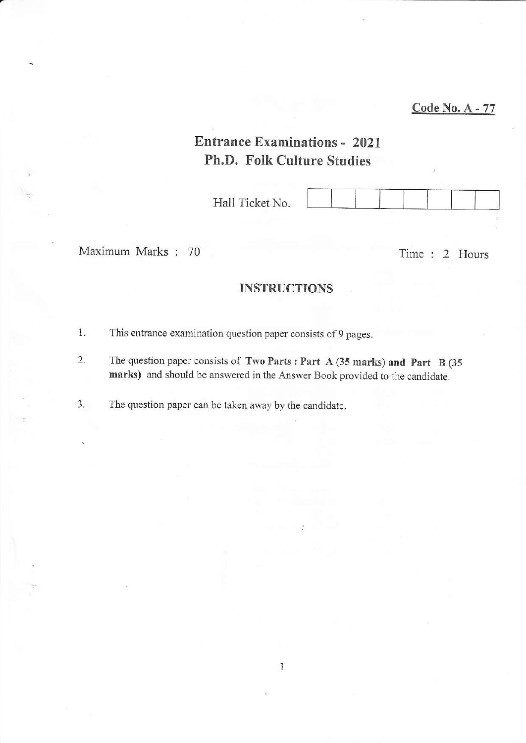# Entrance Examinations - <sup>2021</sup> Ph.D, Folk Culture Studies

| Hall Ticket No. |  |  |  |
|-----------------|--|--|--|
|                 |  |  |  |
|                 |  |  |  |

Maximum Marks : 70 Time : 2 Hours

# INSTRUCTIONS

- 1. This entrance examination question paper consists of 9 pages.
- 2. The question paper consists of Two Parts : Part A (35 marks) and Part B (35 marks) and should be answered in the Answer Book provided to the candidate.

3. The question paper can be taken away by the candidate,

 $\mathbf{1}$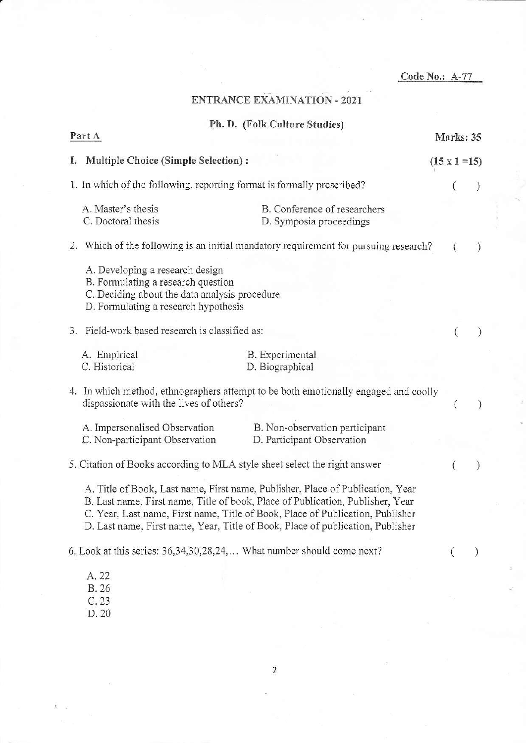|                                                                                                                                                                |                                                                                                                                                                                                                                                                                                                                      | Code No.: A-77 |                      |  |
|----------------------------------------------------------------------------------------------------------------------------------------------------------------|--------------------------------------------------------------------------------------------------------------------------------------------------------------------------------------------------------------------------------------------------------------------------------------------------------------------------------------|----------------|----------------------|--|
|                                                                                                                                                                | <b>ENTRANCE EXAMINATION - 2021</b>                                                                                                                                                                                                                                                                                                   |                |                      |  |
|                                                                                                                                                                | Ph. D. (Folk Culture Studies)                                                                                                                                                                                                                                                                                                        |                |                      |  |
| Part A                                                                                                                                                         |                                                                                                                                                                                                                                                                                                                                      |                | Marks: 35            |  |
| Multiple Choice (Simple Selection) :<br>Ι.                                                                                                                     |                                                                                                                                                                                                                                                                                                                                      |                | $(15 \times 1 = 15)$ |  |
|                                                                                                                                                                | 1. In which of the following, reporting format is formally prescribed?                                                                                                                                                                                                                                                               |                |                      |  |
| A. Master's thesis<br>C. Doctoral thesis                                                                                                                       | B. Conference of researchers<br>D. Symposia proceedings                                                                                                                                                                                                                                                                              |                |                      |  |
|                                                                                                                                                                | 2. Which of the following is an initial mandatory requirement for pursuing research?                                                                                                                                                                                                                                                 |                |                      |  |
| A. Developing a research design<br>B. Formulating a research question<br>C. Deciding about the data analysis procedure<br>D. Formulating a research hypothesis |                                                                                                                                                                                                                                                                                                                                      |                |                      |  |
| Field-work based research is classified as:<br>3.                                                                                                              |                                                                                                                                                                                                                                                                                                                                      |                |                      |  |
| A. Empirical<br>C. Historical                                                                                                                                  | B. Experimental<br>D. Biographical                                                                                                                                                                                                                                                                                                   |                |                      |  |
| dispassionate with the lives of others?                                                                                                                        | 4. In which method, ethnographers attempt to be both emotionally engaged and coolly                                                                                                                                                                                                                                                  |                |                      |  |
| A. Impersonalised Observation<br>C. Non-participant Observation                                                                                                | B. Non-observation participant<br>D. Participant Observation                                                                                                                                                                                                                                                                         |                |                      |  |
|                                                                                                                                                                | 5. Citation of Books according to MLA style sheet select the right answer                                                                                                                                                                                                                                                            |                |                      |  |
|                                                                                                                                                                | A. Title of Book, Last name, First name, Publisher, Place of Publication, Year<br>B. Last name, First name, Title of book, Place of Publication, Publisher, Year<br>C. Year, Last name, First name, Title of Book, Place of Publication, Publisher<br>D. Last name, First name, Year, Title of Book, Place of publication, Publisher |                |                      |  |
|                                                                                                                                                                | 6. Look at this series: 36, 34, 30, 28, 24, What number should come next?                                                                                                                                                                                                                                                            |                |                      |  |
| A. 22<br>B. 26                                                                                                                                                 |                                                                                                                                                                                                                                                                                                                                      |                |                      |  |
| C.23<br>D. 20                                                                                                                                                  |                                                                                                                                                                                                                                                                                                                                      |                |                      |  |
|                                                                                                                                                                |                                                                                                                                                                                                                                                                                                                                      |                |                      |  |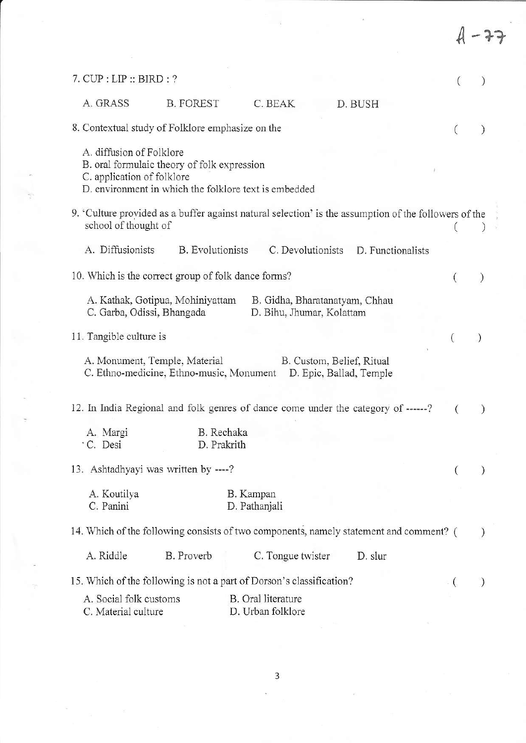| $7.$ CUP : LIP :: BIRD : ?                                                                                                                                     |                                         |                                                             |                   |                |               |
|----------------------------------------------------------------------------------------------------------------------------------------------------------------|-----------------------------------------|-------------------------------------------------------------|-------------------|----------------|---------------|
| A. GRASS<br><b>B. FOREST</b>                                                                                                                                   | C. BEAK                                 | D. BUSH                                                     |                   |                |               |
| 8. Contextual study of Folklore emphasize on the                                                                                                               |                                         |                                                             |                   |                |               |
| A. diffusion of Folklore<br>B. oral formulaic theory of folk expression<br>C. application of folklore<br>D. environment in which the folklore text is embedded |                                         |                                                             |                   |                |               |
| 9. 'Culture provided as a buffer against natural selection' is the assumption of the followers of the<br>school of thought of                                  |                                         |                                                             |                   |                |               |
| A. Diffusionists<br><b>B.</b> Evolutionists                                                                                                                    |                                         | C. Devolutionists                                           | D. Functionalists |                |               |
| 10. Which is the correct group of folk dance forms?                                                                                                            |                                         |                                                             |                   |                | $\mathcal{Y}$ |
| A. Kathak, Gotipua, Mohiniyattam<br>C. Garba, Odissi, Bhangada                                                                                                 |                                         | B. Gidha, Bharatanatyam, Chhau<br>D. Bihu, Jhumar, Kolattam |                   |                |               |
| 11. Tangible culture is                                                                                                                                        |                                         |                                                             |                   |                |               |
| A. Monument, Temple, Material<br>C. Ethno-medicine, Ethno-music, Monument                                                                                      |                                         | B. Custom, Belief, Ritual<br>D. Epic, Ballad, Temple        |                   |                |               |
| 12. In India Regional and folk genres of dance come under the category of ------?                                                                              |                                         |                                                             |                   |                |               |
| A. Margi<br>C. Desi                                                                                                                                            | B. Rechaka<br>D. Prakrith               |                                                             |                   |                |               |
| 13. Ashtadhyayi was written by ----?                                                                                                                           |                                         |                                                             |                   |                |               |
| A. Koutilya<br>C. Panini                                                                                                                                       | B. Kampan<br>D. Pathanjali              |                                                             |                   |                |               |
| 14. Which of the following consists of two components, namely statement and comment? (                                                                         |                                         |                                                             |                   |                |               |
| A. Riddle<br>B. Proverb                                                                                                                                        | C. Tongue twister                       |                                                             | D. slur           |                |               |
| 15. Which of the following is not a part of Dorson's classification?                                                                                           |                                         |                                                             |                   | $\overline{1}$ |               |
| A. Social folk customs<br>C. Material culture                                                                                                                  | B. Oral literature<br>D. Urban folklore |                                                             |                   |                |               |

 $\mathcal{D}$ 

 $\begin{array}{cccccccccc} \mathbb{R} & & & & & & & \mathbb{R} & & & & \mathbb{R} & & & \mathbb{R} & & \mathbb{R} & & \mathbb{R} & & \mathbb{R} & & \mathbb{R} & & \mathbb{R} & & \mathbb{R} & & \mathbb{R} & & \mathbb{R} & & \mathbb{R} & & \mathbb{R} & & \mathbb{R} & & \mathbb{R} & & \mathbb{R} & & \mathbb{R} & & \mathbb{R} & & \mathbb{R} & & \mathbb{R} & & \mathbb{R} & & \mathbb{R} & & \mathbb{R} & & \mathbb{R} & & \mathbb$ 

 $\begin{array}{ccc} E& &\longrightarrow &\mathbb{R}^2\\ &\frac{1}{2}&\longrightarrow&\mathbb{R}^2\\ \end{array}$ 

 $\overline{\mathbf{3}}$ 

 $\frac{1}{\sqrt{2}}$  .

 $\overline{\mathcal{M}}$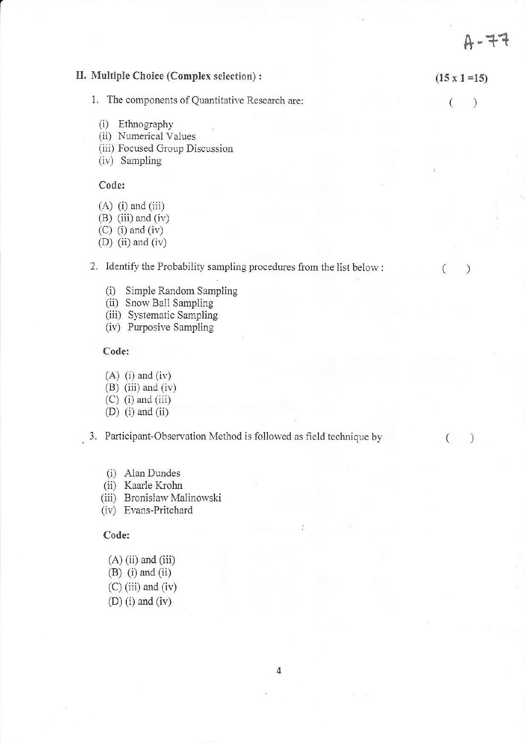II. Multiple Choice (Complex selection) :  $(15 \times 1 = 15)$ 1. The components of Quantitative Research are:  $\left($  $\lambda$ (i) Ethnography (ii) Numerical Values (iii) Focused Group Discussion (iv) Sampling Code:  $(A)$  (i) and (iii)  $(B)$  (iii) and (iv)  $(C)$  (i) and (iv) (D) (ii) and (iv) 2. Identify the Probability sampling procedures from the list below :  $\left($  $\mathcal{I}$ (i) Simple Random Sampling (ii) Snow Ball Sampling (iii) Systematic Sampling (iv) Purposive Sampling Code:  $(A)$  (i) and (iv)  $(B)$  (iii) and (iv)  $(C)$  (i) and (iii)  $(D)$  (i) and (ii) 3. Participant-Observation Method is followed as field technique by  $($ ) (i) Alan Dundes (ii) Kaarle Krohn (iii) Bronisław Malinowski (iv) Evans-Pritchard Code;  $(A)$  (ii) and (iii)  $(B)$  (i) and (ii)

 $A - 77$ 

 $(C)$  (iii) and (iv)  $(D)$  (i) and (iv)

4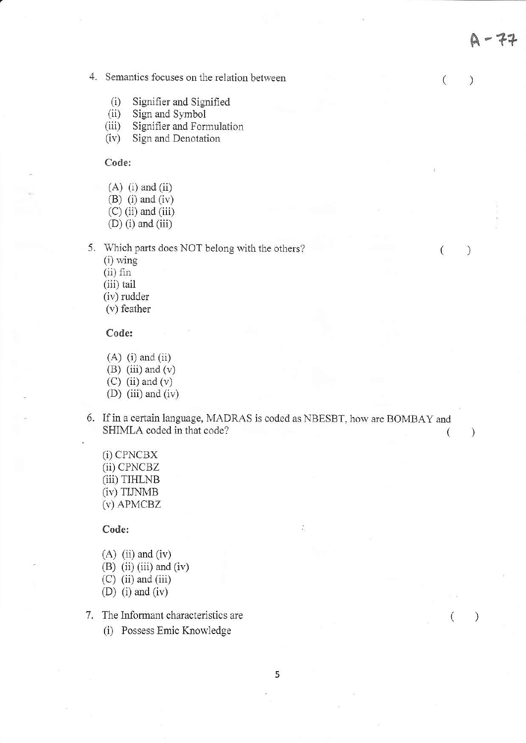4. Semantics focuses on the relation between

- 
- 
- (i) Signifier and Signified<br>
(ii) Sign and Symbol<br>
(iii) Signifier and Formulation<br>
(iv) Sign and Denotation
- 

Code:

- $(A)$  (i) and (ii)
- $(B)$  (i) and (iv)
- $(C)$  (ii) and (iii)
- $(D)$  (i) and (iii)

5. Which parts does NOT belong with the others?

 $(i)$  wing

(ii) fin

(iii) tail

(iv) rudder

 $(v)$  feather

Code:

- $(A)$  (i) and (ii) (B) (iii) and  $(v)$  $(C)$  (ii) and  $(v)$ (D) (iii) and (iv)
- 
- 6. If in a certain language, MADRAS is coded as NBESBT, how are BOMBAY and SHIMLA coded in that code? (  $\mathcal{C}$

<sup>A</sup>-??

 $)$ 

 $\left($ 

 $\left($ 

 $\left($ 

 $\mathcal{E}$ 

 $\mathcal{C}$ 

 $(i)$  CPNCBX (ii) cPNcBZ (iii) TTHLNB (iv) TUNMB (v) APMCBZ

Code:

- $(A)$  (ii) and (iv)
- $(B)$  (ii) (iii) and (iv)
- $(C)$  (ii) and (iii)
- (D) (i) and (iv)
- 7. The Informant characteristics are
	- (i) Possess Emic Krowledge

5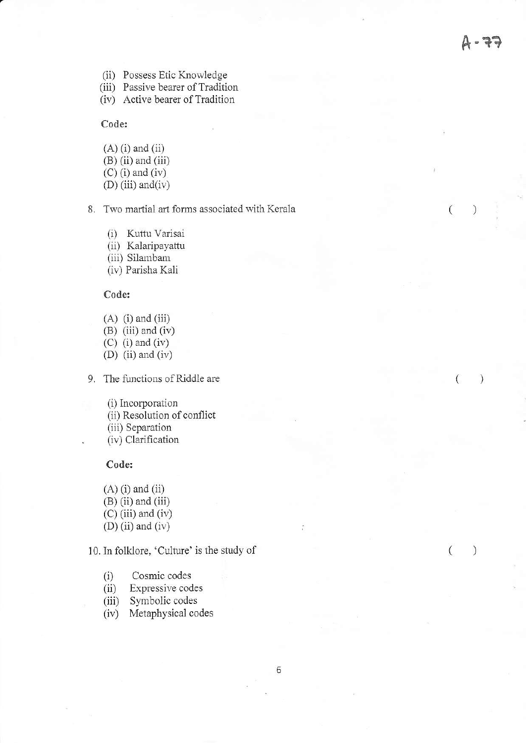$\overline{(\ }$ 

 $\left($ 

 $\mathcal{E}$ 

 $\mathcal{E}$ 

 $\mathcal{C}$ 

(ii) Possess Etic Knowledge

(iii) Passive bearer of Tradition

(iv) Active bearer of Tradition

Code:

 $(A)$  (i) and (ii)  $(B)$  (ii) and (iii)  $(C)$  (i) and (iv)

 $(D)$  (iii) and (iv)

8. Two martial art forms associated with Kerala

(i) Kuttu Varisai (ii) Kalaripayattu (iii) Silambam (iv) Parisha Kali

### Code:

 $(A)$  (i) and (iii)

 $(B)$  (iii) and (iv)

 $(C)$  (i) and (iv) (D) (ii) ard (iv)

9. The functions of Riddle are

(i) Incorporation (ii) Resolution of conflict (iii) Separation (iv) Clarification

### Code:

 $(A)$  (i) and (ii)  $(B)$  (ii) and (iii) (c) (iii) and (iv)  $(D)$  (ii) and (iv)

10. In folklore, 'Culture' is the study of

- (i) Cosmic codes<br>(ii) Expressive cod
- Expressive codes
- (iii) Symbolic codes
- (iv) Metaphysical codes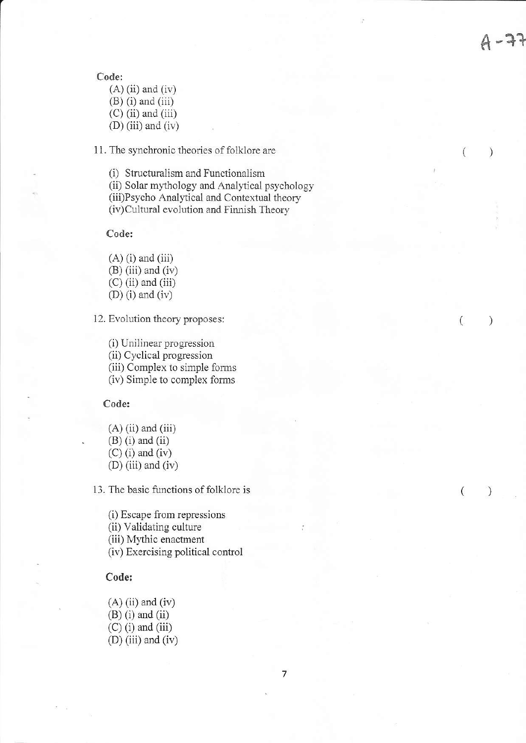$\mathcal{L}$ 

 $\left($ 

 $\mathcal{E}$ 

 $\mathcal{C}$ 

 $\left($ 

Code:

 $(A)$  (ii) and (iv)  $(B)$  (i) and (iii)  $(C)$  (ii) and (iii)  $(D)$  (iii) and (iv)

11. The synchronic theories of folklore are

(i) Structuralism and Functionalism

(ii) Solar mythology and Analytical psychology

(iii)Psycho Analyical and Contertual theory

(iv) Cultural evolution and Finnish Theory

Code:

 $(A)$  (i) and (iii)  $(B)$  (iii) and (iv)  $(C)$  (ii) and (iii)  $(D)$  (i) and (iv)

12. Evolution theory proposes:

(i) Unilinear progression (ii) Cyclical progression (iii) Complex to simple forms (iv) Simple to complex forms

Code:

 $(A)$  (ii) and (iii)  $(B)$  (i) and (ii)  $(C)$  (i) and (iv)  $(D)$  (iii) and (iv)

13. The basic functions of folklore is

(i) Escape ftom repressions (ii) Validating culture (iii) Mythic enactment (iv) Exercising political control

Code:

 $(A)$  (ii) and (iv)  $(B)$  (i) and (ii)  $(C)$  (i) and (iii) (D) (iii) and (iv)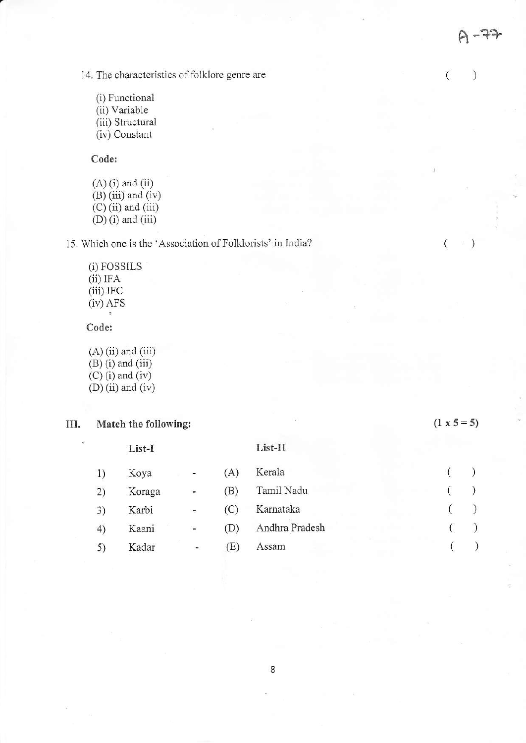$\mathcal{C}$ 

()

()

 $\binom{1}{2}$ 

14. The characteristics of folklore genre are

(i) Functional (ii) Variable (iii) Structural (iv) Constant

Code:

 $(A)$  (i) and (ii)  $(B)$  (iii) and (iv)  $(C)$  (ii) and (iii)  $(D)$  (i) and (iii)

15. Which one is the 'Association of Folklorists' in India?

(i) FOSSILS  $(ii)$  IFA (iii) IFC (iv) AFS

Code:

 $(A)$  (ii) and (iii)  $(B)$  (i) and (iii)  $(C)$  (i) and (iv)  $(D)$  (ii) and (iv)

# III. Match the following:  $(1 \times 5 = 5)$

|    | List-I |                          |     | List-II        |  |  |  |  |
|----|--------|--------------------------|-----|----------------|--|--|--|--|
| 1) | Koya   | $\sim$                   | (A) | Kerala         |  |  |  |  |
| 2) | Koraga | $\overline{\phantom{a}}$ | (B) | Tamil Nadu     |  |  |  |  |
| 3) | Karbi  | ۰                        | (C) | Karnataka      |  |  |  |  |
| 4) | Kaani  | $\blacksquare$           | (D) | Andhra Pradesh |  |  |  |  |
| 5) | Kadar  | ۰.                       | (E) | Assam          |  |  |  |  |
|    |        |                          |     |                |  |  |  |  |